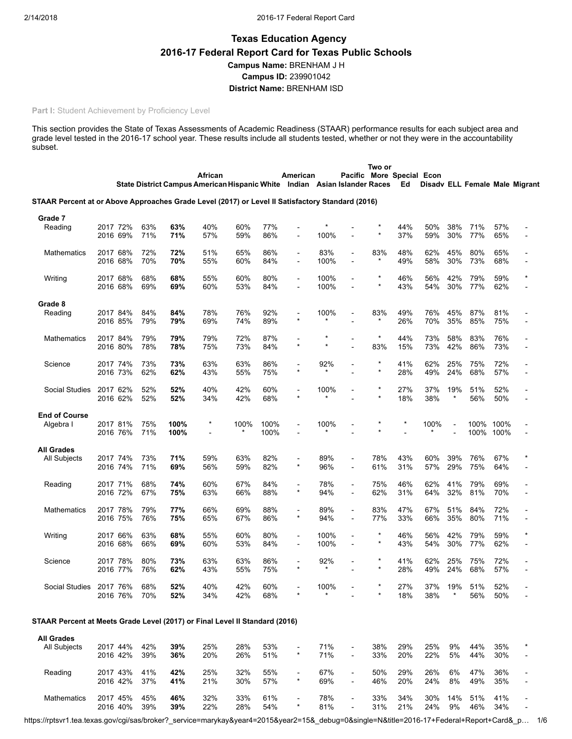# Texas Education Agency 2016-17 Federal Report Card for Texas Public Schools Campus Name: BRENHAM J H Campus ID: 239901042 District Name: BRENHAM ISD

#### Part I: Student Achievement by Proficiency Level

This section provides the State of Texas Assessments of Academic Readiness (STAAR) performance results for each subject area and grade level tested in the 2016-17 school year. These results include all students tested, whether or not they were in the accountability subset.

|                                                                                                  |                      |            |              | African<br>State District Campus American Hispanic White Indian Asian Islander Races |            |              | American                                   |                |                          | Two or             | Pacific More Special Econ<br>Ed |            |            |              |              | Disadv ELL Female Male Migrant |
|--------------------------------------------------------------------------------------------------|----------------------|------------|--------------|--------------------------------------------------------------------------------------|------------|--------------|--------------------------------------------|----------------|--------------------------|--------------------|---------------------------------|------------|------------|--------------|--------------|--------------------------------|
| STAAR Percent at or Above Approaches Grade Level (2017) or Level II Satisfactory Standard (2016) |                      |            |              |                                                                                      |            |              |                                            |                |                          |                    |                                 |            |            |              |              |                                |
| Grade 7<br>Reading                                                                               | 2017 72%<br>2016 69% | 63%<br>71% | 63%<br>71%   | 40%<br>57%                                                                           | 60%<br>59% | 77%<br>86%   |                                            | 100%           |                          |                    | 44%<br>37%                      | 50%<br>59% | 38%<br>30% | 71%<br>77%   | 57%<br>65%   |                                |
| <b>Mathematics</b>                                                                               | 2017 68%<br>2016 68% | 72%<br>70% | 72%<br>70%   | 51%<br>55%                                                                           | 65%<br>60% | 86%<br>84%   | $\overline{\phantom{a}}$<br>$\blacksquare$ | 83%<br>100%    |                          | 83%                | 48%<br>49%                      | 62%<br>58% | 45%<br>30% | 80%<br>73%   | 65%<br>68%   |                                |
| Writing                                                                                          | 2017 68%<br>2016 68% | 68%<br>69% | 68%<br>69%   | 55%<br>60%                                                                           | 60%<br>53% | 80%<br>84%   | $\blacksquare$<br>$\overline{a}$           | 100%<br>100%   |                          | ×<br>$\star$       | 46%<br>43%                      | 56%<br>54% | 42%<br>30% | 79%<br>77%   | 59%<br>62%   | $\star$                        |
| Grade 8                                                                                          |                      |            |              |                                                                                      |            |              |                                            |                |                          |                    |                                 |            |            |              |              |                                |
| Reading                                                                                          | 2017 84%<br>2016 85% | 84%<br>79% | 84%<br>79%   | 78%<br>69%                                                                           | 76%<br>74% | 92%<br>89%   | $\star$                                    | 100%           |                          | 83%<br>*           | 49%<br>26%                      | 76%<br>70% | 45%<br>35% | 87%<br>85%   | 81%<br>75%   |                                |
| <b>Mathematics</b>                                                                               | 2017 84%<br>2016 80% | 79%<br>78% | 79%<br>78%   | 79%<br>75%                                                                           | 72%<br>73% | 87%<br>84%   | $\star$                                    |                |                          | $^{\star}$<br>83%  | 44%<br>15%                      | 73%<br>73% | 58%<br>42% | 83%<br>86%   | 76%<br>73%   |                                |
| Science                                                                                          | 2017 74%<br>2016 73% | 73%<br>62% | 73%<br>62%   | 63%<br>43%                                                                           | 63%<br>55% | 86%<br>75%   | $\star$                                    | 92%<br>$\star$ |                          | $\star$<br>$\star$ | 41%<br>28%                      | 62%<br>49% | 25%<br>24% | 75%<br>68%   | 72%<br>57%   |                                |
| <b>Social Studies</b>                                                                            | 2017 62%<br>2016 62% | 52%<br>52% | 52%<br>52%   | 40%<br>34%                                                                           | 42%<br>42% | 60%<br>68%   |                                            | 100%           |                          | $\star$<br>$\star$ | 27%<br>18%                      | 37%<br>38% | 19%        | 51%<br>56%   | 52%<br>50%   |                                |
| <b>End of Course</b>                                                                             |                      |            |              |                                                                                      |            |              |                                            |                |                          |                    |                                 |            |            |              |              |                                |
| Algebra I                                                                                        | 2017 81%<br>2016 76% | 75%<br>71% | 100%<br>100% | $^{\star}$<br>$\blacksquare$                                                         | 100%       | 100%<br>100% |                                            | 100%           |                          |                    |                                 | 100%       |            | 100%<br>100% | 100%<br>100% |                                |
| <b>All Grades</b>                                                                                |                      |            |              |                                                                                      |            |              |                                            |                |                          |                    |                                 |            |            |              |              |                                |
| All Subjects                                                                                     | 2017 74%<br>2016 74% | 73%<br>71% | 71%<br>69%   | 59%<br>56%                                                                           | 63%<br>59% | 82%<br>82%   | $\star$                                    | 89%<br>96%     | $\overline{\phantom{a}}$ | 78%<br>61%         | 43%<br>31%                      | 60%<br>57% | 39%<br>29% | 76%<br>75%   | 67%<br>64%   | $\star$                        |
| Reading                                                                                          | 2017 71%<br>2016 72% | 68%<br>67% | 74%<br>75%   | 60%<br>63%                                                                           | 67%<br>66% | 84%<br>88%   | $\overline{a}$<br>$\star$                  | 78%<br>94%     | $\overline{\phantom{a}}$ | 75%<br>62%         | 46%<br>31%                      | 62%<br>64% | 41%<br>32% | 79%<br>81%   | 69%<br>70%   |                                |
| Mathematics                                                                                      | 2017 78%<br>2016 75% | 79%<br>76% | 77%<br>75%   | 66%<br>65%                                                                           | 69%<br>67% | 88%<br>86%   | $\blacksquare$<br>$\star$                  | 89%<br>94%     |                          | 83%<br>77%         | 47%<br>33%                      | 67%<br>66% | 51%<br>35% | 84%<br>80%   | 72%<br>71%   |                                |
| Writing                                                                                          | 2017 66%<br>2016 68% | 63%<br>66% | 68%<br>69%   | 55%<br>60%                                                                           | 60%<br>53% | 80%<br>84%   | $\overline{a}$                             | 100%<br>100%   |                          | $\star$            | 46%<br>43%                      | 56%<br>54% | 42%<br>30% | 79%<br>77%   | 59%<br>62%   | $\star$                        |
| Science                                                                                          | 2017 78%             | 80%        | 73%          | 63%                                                                                  | 63%        | 86%          |                                            | 92%<br>$\star$ |                          | $\star$            | 41%                             | 62%        | 25%        | 75%          | 72%          |                                |
| Social Studies 2017 76%                                                                          | 2016 77%             | 76%<br>68% | 62%<br>52%   | 43%<br>40%                                                                           | 55%<br>42% | 75%<br>60%   |                                            | 100%           |                          |                    | 28%<br>27%                      | 49%<br>37% | 24%<br>19% | 68%<br>51%   | 57%<br>52%   |                                |
|                                                                                                  | 2016 76%             | 70%        | 52%          | 34%                                                                                  | 42%        | 68%          |                                            |                |                          |                    | 18%                             | 38%        |            | 56%          | 50%          |                                |
| STAAR Percent at Meets Grade Level (2017) or Final Level II Standard (2016)                      |                      |            |              |                                                                                      |            |              |                                            |                |                          |                    |                                 |            |            |              |              |                                |
| <b>All Grades</b><br>All Subjects                                                                | 2017 44%<br>2016 42% | 42%<br>39% | 39%<br>36%   | 25%<br>20%                                                                           | 28%<br>26% | 53%<br>51%   | $\star$                                    | 71%<br>71%     |                          | 38%<br>33%         | 29%<br>20%                      | 25%<br>22% | 9%<br>5%   | 44%<br>44%   | 35%<br>30%   |                                |
| Reading                                                                                          | 2017 43%<br>2016 42% | 41%<br>37% | 42%<br>41%   | 25%<br>21%                                                                           | 32%<br>30% | 55%<br>57%   | $\overline{a}$<br>$\star$                  | 67%<br>69%     |                          | 50%<br>46%         | 29%<br>20%                      | 26%<br>24% | 6%<br>8%   | 47%<br>49%   | 36%<br>35%   |                                |
| Mathematics                                                                                      | 2017 45%             | 45%        | 46%          | 32%                                                                                  | 33%        | 61%          |                                            | 78%            |                          | 33%                | 34%                             | 30%        |            | 14% 51%      | 41%          |                                |

2016 40% 39% 39% 22% 28% 54% \* 81% - 31% 21% 24% 9% 46% 34% -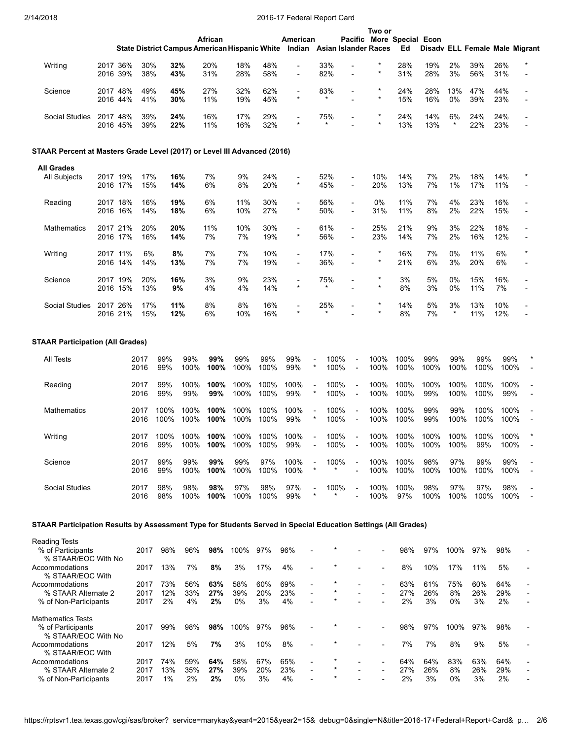|                                                                                                               |                      |              |              |              |              |                             | ---          | $11.1$ vaviative point                                                                |                           |                                                      |                    |                                 |              |                  |              |              |                                |
|---------------------------------------------------------------------------------------------------------------|----------------------|--------------|--------------|--------------|--------------|-----------------------------|--------------|---------------------------------------------------------------------------------------|---------------------------|------------------------------------------------------|--------------------|---------------------------------|--------------|------------------|--------------|--------------|--------------------------------|
|                                                                                                               |                      |              |              |              | African      |                             |              | American<br>State District Campus American Hispanic White Indian Asian Islander Races |                           |                                                      | Two or             | Pacific More Special Econ<br>Ed |              |                  |              |              | Disady ELL Female Male Migrant |
| Writing                                                                                                       | 2017 36%<br>2016 39% | 30%<br>38%   |              | 32%<br>43%   | 20%<br>31%   | 18%<br>28%                  | 48%<br>58%   | $\overline{a}$                                                                        | 33%<br>82%                | $\overline{a}$                                       | $^{\star}$         | 28%<br>31%                      | 19%<br>28%   | 2%<br>3%         | 39%<br>56%   | 26%<br>31%   |                                |
| Science                                                                                                       | 2017 48%<br>2016 44% | 49%<br>41%   |              | 45%<br>30%   | 27%<br>11%   | 32%<br>19%                  | 62%<br>45%   | $\blacksquare$<br>$\star$                                                             | 83%<br>$\star$            |                                                      | $\star$<br>$\star$ | 24%<br>15%                      | 28%<br>16%   | 13%<br>0%        | 47%<br>39%   | 44%<br>23%   |                                |
| Social Studies                                                                                                | 2017 48%<br>2016 45% | 39%<br>39%   |              | 24%<br>22%   | 16%<br>11%   | 17%<br>16%                  | 29%<br>32%   | $\star$                                                                               | 75%<br>$\star$            |                                                      | $\star$<br>$\star$ | 24%<br>13%                      | 14%<br>13%   | 6%<br>$^{\star}$ | 24%<br>22%   | 24%<br>23%   |                                |
| STAAR Percent at Masters Grade Level (2017) or Level III Advanced (2016)                                      |                      |              |              |              |              |                             |              |                                                                                       |                           |                                                      |                    |                                 |              |                  |              |              |                                |
| <b>All Grades</b>                                                                                             |                      |              |              |              |              |                             |              |                                                                                       |                           |                                                      |                    |                                 |              |                  |              |              |                                |
| All Subjects                                                                                                  | 2017 19%<br>2016 17% | 17%<br>15%   |              | 16%<br>14%   | 7%<br>6%     | 9%<br>8%                    | 24%<br>20%   | $\star$                                                                               | 52%<br>45%                | $\blacksquare$<br>$\overline{\phantom{a}}$           | 10%<br>20%         | 14%<br>13%                      | 7%<br>7%     | 2%<br>1%         | 18%<br>17%   | 14%<br>11%   | $^{\star}$                     |
| Reading                                                                                                       | 2017 18%<br>2016 16% | 16%<br>14%   |              | 19%<br>18%   | 6%<br>6%     | 11%<br>10%                  | 30%<br>27%   | $\overline{\phantom{a}}$<br>$\star$                                                   | 56%<br>50%                | $\overline{\phantom{a}}$<br>$\overline{\phantom{a}}$ | 0%<br>31%          | 11%<br>11%                      | 7%<br>8%     | 4%<br>2%         | 23%<br>22%   | 16%<br>15%   |                                |
| Mathematics                                                                                                   | 2017 21%<br>2016 17% | 20%<br>16%   |              | 20%<br>14%   | 11%<br>7%    | 10%<br>7%                   | 30%<br>19%   | $\blacksquare$<br>$\star$                                                             | 61%<br>56%                | $\overline{a}$                                       | 25%<br>23%         | 21%<br>14%                      | 9%<br>7%     | 3%<br>2%         | 22%<br>16%   | 18%<br>12%   |                                |
| Writing                                                                                                       | 2017 11%<br>2016 14% | 6%<br>14%    |              | 8%<br>13%    | 7%<br>7%     | 7%<br>7%                    | 10%<br>19%   | $\blacksquare$<br>$\overline{a}$                                                      | 17%<br>36%                |                                                      | $\star$            | 16%<br>21%                      | 7%<br>6%     | 0%<br>3%         | 11%<br>20%   | 6%<br>6%     | $\star$                        |
| Science                                                                                                       | 2017 19%<br>2016 15% | 20%<br>13%   |              | 16%<br>9%    | 3%<br>4%     | 9%<br>4%                    | 23%<br>14%   | $\overline{a}$<br>$\star$                                                             | 75%                       | $\overline{a}$                                       | $\star$            | 3%<br>8%                        | 5%<br>3%     | 0%<br>0%         | 15%<br>11%   | 16%<br>7%    |                                |
| Social Studies                                                                                                | 2017 26%<br>2016 21% | 17%<br>15%   |              | 11%<br>12%   | 8%<br>6%     | 8%<br>10%                   | 16%<br>16%   | $\star$                                                                               | 25%<br>$\star$            |                                                      | $\star$<br>$\star$ | 14%<br>8%                       | 5%<br>7%     | 3%<br>$\star$    | 13%<br>11%   | 10%<br>12%   |                                |
| <b>STAAR Participation (All Grades)</b>                                                                       |                      |              |              |              |              |                             |              |                                                                                       |                           |                                                      |                    |                                 |              |                  |              |              |                                |
|                                                                                                               |                      |              |              |              |              |                             |              |                                                                                       |                           |                                                      |                    |                                 |              |                  |              |              |                                |
| All Tests                                                                                                     |                      | 2017<br>2016 | 99%<br>99%   | 99%<br>100%  | 99%<br>100%  | 99%<br>100%                 | 99%<br>100%  | 99%<br>99%                                                                            | $\star$                   | 100%<br>100%<br>$\overline{a}$                       | 100%<br>100%       | 100%<br>100%                    | 99%<br>100%  | 99%<br>100%      | 99%<br>100%  | 99%<br>100%  |                                |
| Reading                                                                                                       |                      | 2017<br>2016 | 99%<br>99%   | 100%<br>99%  | 100%<br>99%  | 100%<br>100%                | 100%<br>100% | 100%<br>99%                                                                           | $\star$                   | 100%<br>100%<br>$\overline{\phantom{a}}$             | 100%<br>100%       | 100%<br>100%                    | 100%<br>99%  | 100%<br>100%     | 100%<br>100% | 100%<br>99%  |                                |
| Mathematics                                                                                                   |                      | 2017<br>2016 | 100%<br>100% | 100%<br>100% | 100%<br>100% | 100%<br>100%                | 100%<br>100% | 100%<br>99%                                                                           | $\overline{a}$<br>$\star$ | 100%<br>$\overline{\phantom{a}}$<br>100%             | 100%<br>100%       | 100%<br>100%                    | 99%<br>99%   | 99%<br>100%      | 100%<br>100% | 100%<br>100% |                                |
| Writing                                                                                                       |                      | 2017<br>2016 | 100%<br>99%  | 100%<br>100% | 100%         | 100% 100% 100% 100%<br>100% | 100%         | 99%                                                                                   |                           | 100%<br>$\blacksquare$<br>100%                       | 100%<br>100%       | 100%<br>100%                    | 100%<br>100% | 100%<br>100%     | 100%<br>99%  | 100%<br>100% |                                |
| Science                                                                                                       |                      | 2017<br>2016 | 99%<br>99%   | 99%<br>100%  | 99%<br>100%  | 99%<br>100%                 | 97%<br>100%  | 100%<br>100%                                                                          | $\star$                   | 100%<br>L,                                           | 100%<br>100%       | 100%<br>100%                    | 98%<br>100%  | 97%<br>100%      | 99%<br>100%  | 99%<br>100%  | $\overline{a}$                 |
| <b>Social Studies</b>                                                                                         |                      | 2017<br>2016 | 98%<br>98%   | 98%<br>100%  | 98%<br>100%  | 97%<br>100%                 | 98%<br>100%  | 97%<br>99%                                                                            |                           | 100%                                                 | 100%<br>100%       | 100%<br>97%                     | 98%<br>100%  | 97%<br>100%      | 97%<br>100%  | 98%<br>100%  |                                |
| STAAR Participation Results by Assessment Type for Students Served in Special Education Settings (All Grades) |                      |              |              |              |              |                             |              |                                                                                       |                           |                                                      |                    |                                 |              |                  |              |              |                                |
| <b>Reading Tests</b>                                                                                          |                      |              |              |              |              |                             |              |                                                                                       |                           |                                                      |                    |                                 |              |                  |              |              |                                |
| % of Participants                                                                                             |                      | 2017         | 98%          | 96%          | 98%          | 100%                        | 97%          | 96%                                                                                   |                           |                                                      |                    | 98%                             | 97%          | 100%             | 97%          | 98%          |                                |
| % STAAR/EOC With No                                                                                           |                      |              |              |              |              |                             |              |                                                                                       |                           |                                                      |                    |                                 |              |                  |              |              |                                |
| Accommodations<br>% STAAR/EOC With                                                                            |                      | 2017         | 13%          | 7%           | 8%           | 3%                          | 17%          | 4%                                                                                    |                           |                                                      |                    | 8%                              | 10%          | 17%              | 11%          | 5%           |                                |
| Accommodations                                                                                                |                      | 2017         | 73%          | 56%          | 63%          | 58%                         | 60%          | 69%                                                                                   |                           |                                                      |                    | 63%                             | 61%          | 75%              | 60%          | 64%          |                                |
| % STAAR Alternate 2<br>% of Non-Participants                                                                  |                      | 2017<br>2017 | 12%<br>2%    | 33%<br>4%    | 27%<br>2%    | 39%<br>0%                   | 20%<br>3%    | 23%<br>4%                                                                             | $\overline{a}$<br>$\star$ | $\overline{a}$                                       |                    | 27%<br>2%                       | 26%<br>3%    | 8%<br>0%         | 26%<br>3%    | 29%<br>2%    |                                |
| <b>Mathematics Tests</b><br>% of Participants                                                                 |                      | 2017         | 99%          | 98%          | 98%          | 100%                        | 97%          | 96%                                                                                   |                           |                                                      |                    | 98%                             | 97%          | 100%             | 97%          | 98%          |                                |
| % STAAR/EOC With No<br>Accommodations                                                                         |                      | 2017         | 12%          | 5%           | 7%           | 3%                          | 10%          | 8%                                                                                    |                           |                                                      |                    | 7%                              | 7%           | 8%               | 9%           | 5%           |                                |
| % STAAR/EOC With                                                                                              |                      |              |              |              |              |                             |              |                                                                                       |                           |                                                      |                    |                                 |              |                  |              |              |                                |
| Accommodations                                                                                                |                      | 2017         | 74%          | 59%          | 64%          | 58%                         | 67%          | 65%                                                                                   |                           |                                                      |                    | 64%                             | 64%          | 83%              | 63%          | 64%          |                                |
| % STAAR Alternate 2<br>% of Non-Participants                                                                  |                      | 2017<br>2017 | 13%<br>1%    | 35%<br>2%    | 27%<br>2%    | 39%<br>0%                   | 20%<br>3%    | 23%<br>4%                                                                             |                           |                                                      |                    | 27%<br>2%                       | 26%<br>3%    | 8%<br>0%         | 26%<br>3%    | 29%<br>2%    |                                |
|                                                                                                               |                      |              |              |              |              |                             |              |                                                                                       |                           |                                                      |                    |                                 |              |                  |              |              |                                |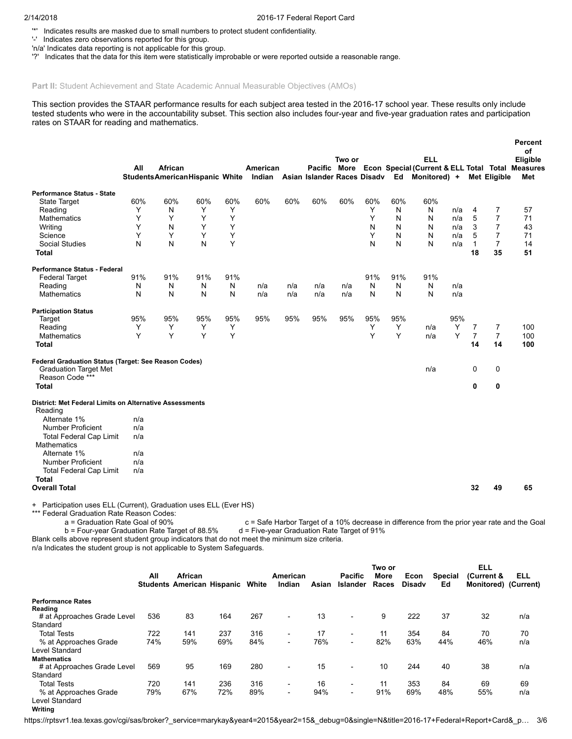'\*' Indicates results are masked due to small numbers to protect student confidentiality.

'-' Indicates zero observations reported for this group.

'n/a' Indicates data reporting is not applicable for this group.

'?' Indicates that the data for this item were statistically improbable or were reported outside a reasonable range.

### Part II: Student Achievement and State Academic Annual Measurable Objectives (AMOs)

This section provides the STAAR performance results for each subject area tested in the 2016-17 school year. These results only include tested students who were in the accountability subset. This section also includes four-year and five-year graduation rates and participation rates on STAAR for reading and mathematics.

|                                                                    |     |                                       |     |     |          |     |     |        |     |     |                                                               |     |                |                     | Percent<br>of |
|--------------------------------------------------------------------|-----|---------------------------------------|-----|-----|----------|-----|-----|--------|-----|-----|---------------------------------------------------------------|-----|----------------|---------------------|---------------|
|                                                                    |     |                                       |     |     |          |     |     | Two or |     |     | <b>ELL</b>                                                    |     |                |                     | Eligible      |
|                                                                    | All | African                               |     |     | American |     |     |        |     |     | Pacific More Econ Special (Current & ELL Total Total Measures |     |                |                     |               |
|                                                                    |     | <b>StudentsAmericanHispanic White</b> |     |     |          |     |     |        |     |     | Indian Asian Islander Races Disadv Ed Monitored) +            |     |                | <b>Met Eligible</b> | Met           |
| <b>Performance Status - State</b>                                  |     |                                       |     |     |          |     |     |        |     |     |                                                               |     |                |                     |               |
| <b>State Target</b>                                                | 60% | 60%                                   | 60% | 60% | 60%      | 60% | 60% | 60%    | 60% | 60% | 60%                                                           |     |                |                     |               |
| Reading                                                            | Y   | N                                     | Y   | Y   |          |     |     |        | Y   | N   | N                                                             | n/a | 4              | 7                   | 57            |
| <b>Mathematics</b>                                                 | Y   | Υ                                     | Y   | Y   |          |     |     |        | Y   | N   | N                                                             | n/a | 5              | $\overline{7}$      | 71            |
| Writing                                                            | Y   | N                                     | Y   | Y   |          |     |     |        | N   | N   | N                                                             | n/a | 3              | $\overline{7}$      | 43            |
| Science                                                            | Y   | Y                                     | Y   | Υ   |          |     |     |        | Y   | N   | N                                                             | n/a | 5              | $\overline{7}$      | 71            |
| <b>Social Studies</b>                                              | N   | N                                     | N   | Y   |          |     |     |        | N   | N   | N                                                             | n/a | $\mathbf{1}$   | $\overline{7}$      | 14            |
| <b>Total</b>                                                       |     |                                       |     |     |          |     |     |        |     |     |                                                               |     | 18             | 35                  | 51            |
|                                                                    |     |                                       |     |     |          |     |     |        |     |     |                                                               |     |                |                     |               |
| <b>Performance Status - Federal</b>                                |     |                                       |     |     |          |     |     |        |     |     |                                                               |     |                |                     |               |
| <b>Federal Target</b>                                              | 91% | 91%                                   | 91% | 91% |          |     |     |        | 91% | 91% | 91%                                                           |     |                |                     |               |
| Reading                                                            | N   | N                                     | N   | N   | n/a      | n/a | n/a | n/a    | N   | N   | N                                                             | n/a |                |                     |               |
| <b>Mathematics</b>                                                 | N   | N                                     | N   | N   | n/a      | n/a | n/a | n/a    | N   | N   | N                                                             | n/a |                |                     |               |
| <b>Participation Status</b>                                        |     |                                       |     |     |          |     |     |        |     |     |                                                               |     |                |                     |               |
| Target                                                             | 95% | 95%                                   | 95% | 95% | 95%      | 95% | 95% | 95%    | 95% | 95% |                                                               | 95% |                |                     |               |
| Reading                                                            | Y   | Y                                     | Y   | Y   |          |     |     |        | Y   | Y   | n/a                                                           | Y   | 7              | 7                   | 100           |
| <b>Mathematics</b>                                                 | Y   | Y                                     | Y   | Y   |          |     |     |        | Y   | Y   | n/a                                                           | Y   | $\overline{7}$ | $\overline{7}$      | 100           |
| <b>Total</b>                                                       |     |                                       |     |     |          |     |     |        |     |     |                                                               |     | 14             | 14                  | 100           |
|                                                                    |     |                                       |     |     |          |     |     |        |     |     |                                                               |     |                |                     |               |
| Federal Graduation Status (Target: See Reason Codes)               |     |                                       |     |     |          |     |     |        |     |     |                                                               |     |                |                     |               |
| <b>Graduation Target Met</b>                                       |     |                                       |     |     |          |     |     |        |     |     | n/a                                                           |     | 0              | 0                   |               |
| Reason Code ***                                                    |     |                                       |     |     |          |     |     |        |     |     |                                                               |     |                |                     |               |
| <b>Total</b>                                                       |     |                                       |     |     |          |     |     |        |     |     |                                                               |     | 0              | 0                   |               |
| District: Met Federal Limits on Alternative Assessments<br>Reading |     |                                       |     |     |          |     |     |        |     |     |                                                               |     |                |                     |               |
| Alternate 1%                                                       | n/a |                                       |     |     |          |     |     |        |     |     |                                                               |     |                |                     |               |
| <b>Number Proficient</b>                                           | n/a |                                       |     |     |          |     |     |        |     |     |                                                               |     |                |                     |               |
| <b>Total Federal Cap Limit</b>                                     | n/a |                                       |     |     |          |     |     |        |     |     |                                                               |     |                |                     |               |
| <b>Mathematics</b>                                                 |     |                                       |     |     |          |     |     |        |     |     |                                                               |     |                |                     |               |
| Alternate 1%                                                       | n/a |                                       |     |     |          |     |     |        |     |     |                                                               |     |                |                     |               |
| <b>Number Proficient</b>                                           | n/a |                                       |     |     |          |     |     |        |     |     |                                                               |     |                |                     |               |
| <b>Total Federal Cap Limit</b>                                     | n/a |                                       |     |     |          |     |     |        |     |     |                                                               |     |                |                     |               |
| <b>Total</b>                                                       |     |                                       |     |     |          |     |     |        |     |     |                                                               |     |                |                     |               |
| <b>Overall Total</b>                                               |     |                                       |     |     |          |     |     |        |     |     |                                                               |     | 32             | 49                  | 65            |
| + Participation uses ELL (Current), Graduation uses ELL (Ever HS)  |     |                                       |     |     |          |     |     |        |     |     |                                                               |     |                |                     |               |

\*\*\* Federal Graduation Rate Reason Codes:<br>a = Graduation Rate Goal of 90%

c = Safe Harbor Target of a 10% decrease in difference from the prior year rate and the Goal d = Five-year Graduation Rate Target of 91% b = Four-year Graduation Rate Target of 88.5% Blank cells above represent student group indicators that do not meet the minimum size criteria.

n/a Indicates the student group is not applicable to System Safeguards.

|                                                | All | African<br><b>Students American Hispanic</b> |     | White | American<br>Indian       | Asian | <b>Pacific</b><br><b>Islander</b> | Two or<br>More<br>Races | Econ<br><b>Disady</b> | <b>Special</b><br>Ed | <b>ELL</b><br>(Current &<br>Monitored) (Current) | ELL |
|------------------------------------------------|-----|----------------------------------------------|-----|-------|--------------------------|-------|-----------------------------------|-------------------------|-----------------------|----------------------|--------------------------------------------------|-----|
| <b>Performance Rates</b><br>Reading            |     |                                              |     |       |                          |       |                                   |                         |                       |                      |                                                  |     |
| # at Approaches Grade Level                    | 536 | 83                                           | 164 | 267   | ۰.                       | 13    | $\overline{\phantom{0}}$          | 9                       | 222                   | 37                   | 32                                               | n/a |
| Standard                                       |     |                                              |     |       |                          |       |                                   |                         |                       |                      |                                                  |     |
| <b>Total Tests</b>                             | 722 | 141                                          | 237 | 316   | ۰.                       | 17    | ۰                                 | 11                      | 354                   | 84                   | 70                                               | 70  |
| % at Approaches Grade                          | 74% | 59%                                          | 69% | 84%   | ۰.                       | 76%   | $\overline{\phantom{0}}$          | 82%                     | 63%                   | 44%                  | 46%                                              | n/a |
| Level Standard                                 |     |                                              |     |       |                          |       |                                   |                         |                       |                      |                                                  |     |
| <b>Mathematics</b>                             |     |                                              |     |       |                          |       |                                   |                         |                       |                      |                                                  |     |
| # at Approaches Grade Level                    | 569 | 95                                           | 169 | 280   | $\overline{\phantom{a}}$ | 15    | ۰                                 | 10                      | 244                   | 40                   | 38                                               | n/a |
| Standard                                       |     |                                              |     |       |                          |       |                                   |                         |                       |                      |                                                  |     |
| <b>Total Tests</b>                             | 720 | 141                                          | 236 | 316   | $\sim$                   | 16    | $\overline{\phantom{a}}$          | 11                      | 353                   | 84                   | 69                                               | 69  |
| % at Approaches Grade<br><b>Level Standard</b> | 79% | 67%                                          | 72% | 89%   | ۰.                       | 94%   | ۰                                 | 91%                     | 69%                   | 48%                  | 55%                                              | n/a |

#### **Writing**

https://rptsvr1.tea.texas.gov/cgi/sas/broker?\_service=marykay&year4=2015&year2=15&\_debug=0&single=N&title=2016-17+Federal+Report+Card&\_p… 3/6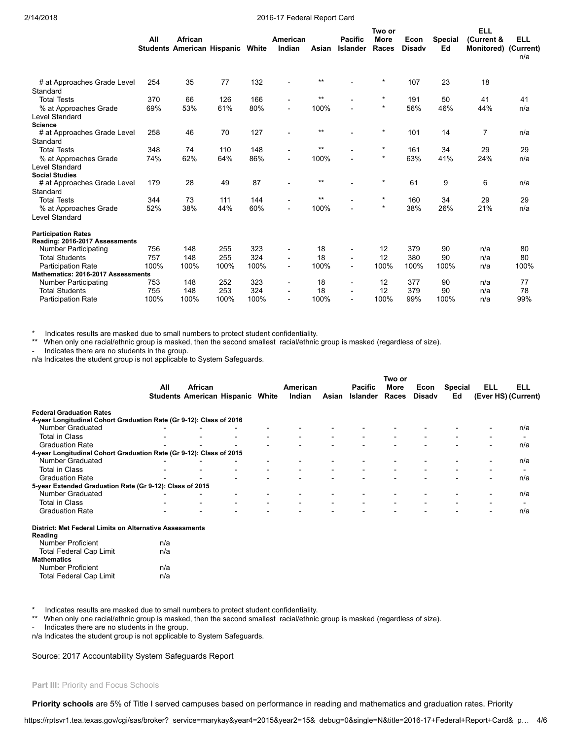|                                                              | All  | African<br><b>Students American Hispanic</b> |      | White | American<br>Indian | Asian | <b>Pacific</b><br><b>Islander</b> | Two or<br><b>More</b><br>Races | Econ<br><b>Disady</b> | <b>Special</b><br>Ed | <b>ELL</b><br>(Current &<br>Monitored) (Current) | <b>ELL</b><br>n/a |
|--------------------------------------------------------------|------|----------------------------------------------|------|-------|--------------------|-------|-----------------------------------|--------------------------------|-----------------------|----------------------|--------------------------------------------------|-------------------|
| # at Approaches Grade Level<br>Standard                      | 254  | 35                                           | 77   | 132   |                    | $***$ |                                   | $^{\star}$                     | 107                   | 23                   | 18                                               |                   |
| <b>Total Tests</b>                                           | 370  | 66                                           | 126  | 166   |                    | $***$ |                                   | $\star$                        | 191                   | 50                   | 41                                               | 41                |
| % at Approaches Grade<br><b>Level Standard</b>               | 69%  | 53%                                          | 61%  | 80%   | $\blacksquare$     | 100%  |                                   | $^\star$                       | 56%                   | 46%                  | 44%                                              | n/a               |
| <b>Science</b>                                               |      |                                              |      |       |                    |       |                                   |                                |                       |                      |                                                  |                   |
| # at Approaches Grade Level<br>Standard                      | 258  | 46                                           | 70   | 127   |                    | $***$ |                                   | $^\star$                       | 101                   | 14                   | $\overline{7}$                                   | n/a               |
| <b>Total Tests</b>                                           | 348  | 74                                           | 110  | 148   |                    | $***$ |                                   | $^\star$                       | 161                   | 34                   | 29                                               | 29                |
| % at Approaches Grade                                        | 74%  | 62%                                          | 64%  | 86%   |                    | 100%  |                                   | $^\star$                       | 63%                   | 41%                  | 24%                                              | n/a               |
| Level Standard                                               |      |                                              |      |       |                    |       |                                   |                                |                       |                      |                                                  |                   |
| <b>Social Studies</b>                                        |      |                                              |      |       |                    | $***$ |                                   | $\star$                        |                       |                      |                                                  |                   |
| # at Approaches Grade Level<br>Standard                      | 179  | 28                                           | 49   | 87    |                    |       |                                   |                                | 61                    | 9                    | 6                                                | n/a               |
| <b>Total Tests</b>                                           | 344  | 73                                           | 111  | 144   | -                  | $***$ |                                   | $^\star$                       | 160                   | 34                   | 29                                               | 29                |
| % at Approaches Grade<br><b>Level Standard</b>               | 52%  | 38%                                          | 44%  | 60%   |                    | 100%  |                                   | $^\star$                       | 38%                   | 26%                  | 21%                                              | n/a               |
| <b>Participation Rates</b><br>Reading: 2016-2017 Assessments |      |                                              |      |       |                    |       |                                   |                                |                       |                      |                                                  |                   |
| <b>Number Participating</b>                                  | 756  | 148                                          | 255  | 323   |                    | 18    | $\blacksquare$                    | 12                             | 379                   | 90                   | n/a                                              | 80                |
| <b>Total Students</b>                                        | 757  | 148                                          | 255  | 324   | $\blacksquare$     | 18    | $\overline{\phantom{a}}$          | 12                             | 380                   | 90                   | n/a                                              | 80                |
| <b>Participation Rate</b>                                    | 100% | 100%                                         | 100% | 100%  | $\blacksquare$     | 100%  | $\blacksquare$                    | 100%                           | 100%                  | 100%                 | n/a                                              | 100%              |
| Mathematics: 2016-2017 Assessments                           |      |                                              |      |       |                    |       |                                   |                                |                       |                      |                                                  |                   |
| <b>Number Participating</b>                                  | 753  | 148                                          | 252  | 323   | $\overline{a}$     | 18    | $\blacksquare$                    | 12                             | 377                   | 90                   | n/a                                              | 77                |
| <b>Total Students</b>                                        | 755  | 148                                          | 253  | 324   |                    | 18    | $\overline{a}$                    | 12                             | 379                   | 90                   | n/a                                              | 78                |
| <b>Participation Rate</b>                                    | 100% | 100%                                         | 100% | 100%  |                    | 100%  | $\overline{a}$                    | 100%                           | 99%                   | 100%                 | n/a                                              | 99%               |

Indicates results are masked due to small numbers to protect student confidentiality.

\*\* When only one racial/ethnic group is masked, then the second smallest racial/ethnic group is masked (regardless of size).

Indicates there are no students in the group.

n/a Indicates the student group is not applicable to System Safeguards.

|                                                                                                        |     |                                                    |                          |                          |                          |                          |                                   | Two or                   |                       |                          |                          |                            |
|--------------------------------------------------------------------------------------------------------|-----|----------------------------------------------------|--------------------------|--------------------------|--------------------------|--------------------------|-----------------------------------|--------------------------|-----------------------|--------------------------|--------------------------|----------------------------|
|                                                                                                        | All | African<br><b>Students American Hispanic White</b> |                          |                          | American<br>Indian       | Asian                    | <b>Pacific</b><br><b>Islander</b> | More<br>Races            | Econ<br><b>Disady</b> | <b>Special</b><br>Ed     | ELL                      | ELL<br>(Ever HS) (Current) |
| <b>Federal Graduation Rates</b><br>4-year Longitudinal Cohort Graduation Rate (Gr 9-12): Class of 2016 |     |                                                    |                          |                          |                          |                          |                                   |                          |                       |                          |                          |                            |
| <b>Number Graduated</b>                                                                                |     |                                                    |                          |                          |                          |                          |                                   |                          |                       |                          | $\overline{\phantom{0}}$ | n/a                        |
| Total in Class                                                                                         |     |                                                    |                          |                          |                          |                          |                                   | $\overline{\phantom{0}}$ |                       |                          |                          |                            |
| <b>Graduation Rate</b>                                                                                 |     |                                                    |                          |                          |                          |                          |                                   |                          |                       | $\overline{\phantom{0}}$ | $\overline{\phantom{0}}$ | n/a                        |
| 4-year Longitudinal Cohort Graduation Rate (Gr 9-12): Class of 2015                                    |     |                                                    |                          |                          |                          |                          |                                   |                          |                       |                          |                          |                            |
| <b>Number Graduated</b>                                                                                |     |                                                    |                          |                          | $\overline{\phantom{0}}$ |                          |                                   |                          |                       |                          | $\blacksquare$           | n/a                        |
| Total in Class                                                                                         |     |                                                    | $\overline{\phantom{0}}$ | $\overline{\phantom{0}}$ | $\overline{\phantom{0}}$ |                          |                                   | $\overline{\phantom{0}}$ |                       |                          | $\overline{\phantom{0}}$ |                            |
| <b>Graduation Rate</b>                                                                                 |     |                                                    |                          |                          |                          |                          |                                   |                          |                       |                          | $\overline{\phantom{0}}$ | n/a                        |
| 5-year Extended Graduation Rate (Gr 9-12): Class of 2015                                               |     |                                                    |                          |                          |                          |                          |                                   |                          |                       |                          |                          |                            |
| <b>Number Graduated</b>                                                                                |     |                                                    |                          |                          |                          |                          |                                   |                          |                       |                          | $\overline{\phantom{a}}$ | n/a                        |
| Total in Class                                                                                         |     |                                                    | $\blacksquare$           |                          | $\overline{\phantom{a}}$ | $\overline{\phantom{0}}$ |                                   | $\overline{\phantom{0}}$ |                       | $\overline{\phantom{0}}$ | $\overline{\phantom{0}}$ |                            |
| <b>Graduation Rate</b>                                                                                 |     |                                                    |                          |                          |                          |                          |                                   |                          |                       | $\overline{\phantom{0}}$ | $\blacksquare$           | n/a                        |
| District: Met Federal Limits on Alternative Assessments                                                |     |                                                    |                          |                          |                          |                          |                                   |                          |                       |                          |                          |                            |

Reading Number Proficient n/a Total Federal Cap Limit **n/a Mathematics** Number Proficient **n/a** 

Total Federal Cap Limit **n/a** 

Indicates results are masked due to small numbers to protect student confidentiality.

\*\* When only one racial/ethnic group is masked, then the second smallest racial/ethnic group is masked (regardless of size).

Indicates there are no students in the group.

n/a Indicates the student group is not applicable to System Safeguards.

Source: 2017 Accountability System Safeguards Report

Part III: Priority and Focus Schools

Priority schools are 5% of Title I served campuses based on performance in reading and mathematics and graduation rates. Priority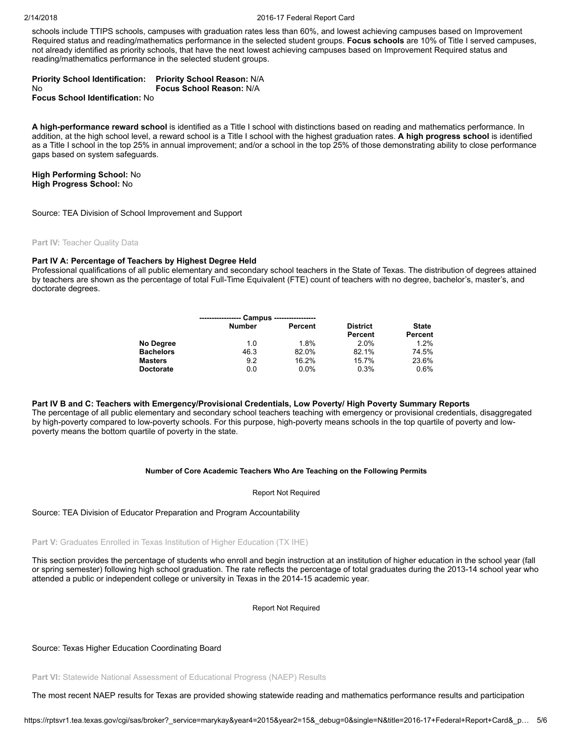schools include TTIPS schools, campuses with graduation rates less than 60%, and lowest achieving campuses based on Improvement Required status and reading/mathematics performance in the selected student groups. Focus schools are 10% of Title I served campuses, not already identified as priority schools, that have the next lowest achieving campuses based on Improvement Required status and reading/mathematics performance in the selected student groups.

#### Priority School Identification: No Priority School Reason: N/A Focus School Reason: N/A

Focus School Identification: No

A high-performance reward school is identified as a Title I school with distinctions based on reading and mathematics performance. In addition, at the high school level, a reward school is a Title I school with the highest graduation rates. A high progress school is identified as a Title I school in the top 25% in annual improvement; and/or a school in the top 25% of those demonstrating ability to close performance gaps based on system safeguards.

#### High Performing School: No High Progress School: No

Source: TEA Division of School Improvement and Support

#### **Part IV: Teacher Quality Data**

#### Part IV A: Percentage of Teachers by Highest Degree Held

Professional qualifications of all public elementary and secondary school teachers in the State of Texas. The distribution of degrees attained by teachers are shown as the percentage of total Full-Time Equivalent (FTE) count of teachers with no degree, bachelor's, master's, and doctorate degrees.

|                  |               | Campus ----------------- |                 |              |
|------------------|---------------|--------------------------|-----------------|--------------|
|                  | <b>Number</b> | Percent                  | <b>District</b> | <b>State</b> |
|                  |               |                          | Percent         | Percent      |
| No Degree        | 1.0           | 1.8%                     | 2.0%            | 1.2%         |
| <b>Bachelors</b> | 46.3          | 82.0%                    | 82.1%           | 74.5%        |
| <b>Masters</b>   | 9.2           | 16.2%                    | 15.7%           | 23.6%        |
| <b>Doctorate</b> | 0.0           | 0.0%                     | 0.3%            | 0.6%         |

#### Part IV B and C: Teachers with Emergency/Provisional Credentials, Low Poverty/ High Poverty Summary Reports

The percentage of all public elementary and secondary school teachers teaching with emergency or provisional credentials, disaggregated by high-poverty compared to low-poverty schools. For this purpose, high-poverty means schools in the top quartile of poverty and lowpoverty means the bottom quartile of poverty in the state.

#### Number of Core Academic Teachers Who Are Teaching on the Following Permits

#### Report Not Required

#### Source: TEA Division of Educator Preparation and Program Accountability

Part V: Graduates Enrolled in Texas Institution of Higher Education (TX IHE)

This section provides the percentage of students who enroll and begin instruction at an institution of higher education in the school year (fall or spring semester) following high school graduation. The rate reflects the percentage of total graduates during the 2013-14 school year who attended a public or independent college or university in Texas in the 2014-15 academic year.

Report Not Required

Source: Texas Higher Education Coordinating Board

Part VI: Statewide National Assessment of Educational Progress (NAEP) Results

The most recent NAEP results for Texas are provided showing statewide reading and mathematics performance results and participation